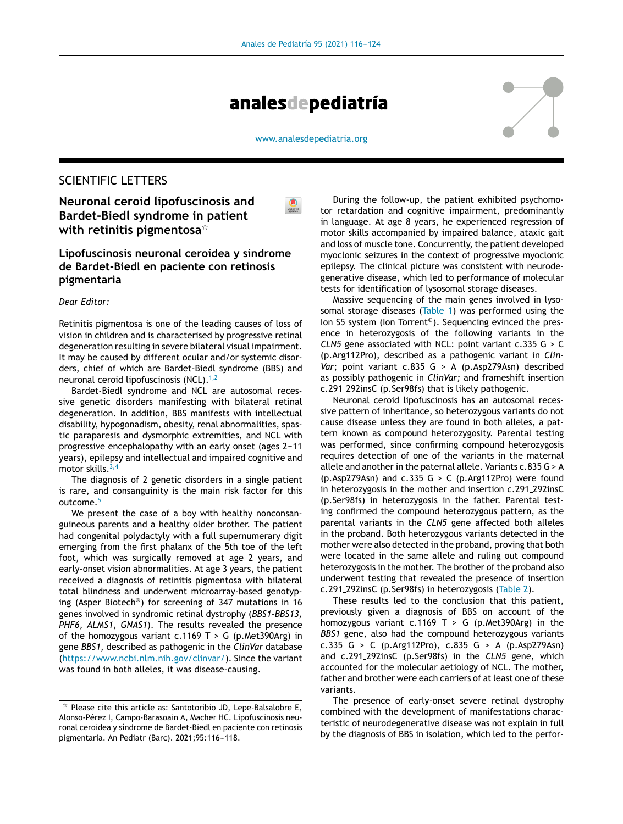

[www.analesdepediatria.org](http://www.analesdepediatria.org)

# SCIENTIFIC LETTERS

**Neuronal ceroid lipofuscinosis and Bardet-Biedl syndrome in patient**  $\mathsf{with}$  <code>retinitis</code> <code>pigmentosa $^\star$ </code>

## **Lipofuscinosis neuronal ceroidea y síndrome de Bardet-Biedl en paciente con retinosis pigmentaria**

### *Dear Editor:*

Retinitis pigmentosa is one of the leading causes of loss of vision in children and is characterised by progressive retinal degeneration resulting in severe bilateral visual impairment. It may be caused by different ocular and/or systemic disorders, chief of which are Bardet-Biedl syndrome (BBS) and neuronal ceroid lipofuscinosis  $(NCL)$ .<sup>[1,2](#page-1-0)</sup>

Bardet-Biedl syndrome and NCL are autosomal recessive genetic disorders manifesting with bilateral retinal degeneration. In addition, BBS manifests with intellectual disability, hypogonadism, obesity, renal abnormalities, spastic paraparesis and dysmorphic extremities, and NCL with progressive encephalopathy with an early onset (ages 2-11 years), epilepsy and intellectual and impaired cognitive and motor skills. $3,4$ 

The diagnosis of 2 genetic disorders in a single patient is rare, and consanguinity is the main risk factor for this outcome.<sup>[5](#page-2-0)</sup>

We present the case of a boy with healthy nonconsanguineous parents and a healthy older brother. The patient had congenital polydactyly with a full supernumerary digit emerging from the first phalanx of the 5th toe of the left foot, which was surgically removed at age 2 years, and early-onset vision abnormalities. At age 3 years, the patient received a diagnosis of retinitis pigmentosa with bilateral total blindness and underwent microarray-based genotyping (Asper Biotech® ) for screening of 347 mutations in 16 genes involved in syndromic retinal dystrophy (*BBS1-BBS13, PHF6, ALMS1*, *GNAS1*). The results revealed the presence of the homozygous variant c.1169 T > G (p.Met390Arg) in gene *BBS1*, described as pathogenic in the *ClinVar* database ([https://www.ncbi.nlm.nih.gov/clinvar/\)](https://www.ncbi.nlm.nih.gov/clinvar/). Since the variant was found in both alleles, it was disease-causing.

During the follow-up, the patient exhibited psychomotor retardation and cognitive impairment, predominantly in language. At age 8 years, he experienced regression of motor skills accompanied by impaired balance, ataxic gait and loss of muscle tone. Concurrently, the patient developed myoclonic seizures in the context of progressive myoclonic epilepsy. The clinical picture was consistent with neurodegenerative disease, which led to performance of molecular tests for identification of lysosomal storage diseases.

Massive sequencing of the main genes involved in lyso-somal storage diseases ([Table](#page-1-0) 1) was performed using the Ion S5 system (Ion Torrent® ). Sequencing evinced the presence in heterozygosis of the following variants in the *CLN5* gene associated with NCL: point variant c.335 G > C (p.Arg112Pro), described as a pathogenic variant in *Clin-Var*; point variant c.835 G > A (p.Asp279Asn) described as possibly pathogenic in *ClinVar;* and frameshift insertion c.291 292insC (p.Ser98fs) that is likely pathogenic.

Neuronal ceroid lipofuscinosis has an autosomal recessive pattern of inheritance, so heterozygous variants do not cause disease unless they are found in both alleles, a pattern known as compound heterozygosity. Parental testing was performed, since confirming compound heterozygosis requires detection of one of the variants in the maternal allele and another in the paternal allele. Variants c.835 G > A (p.Asp279Asn) and  $c.335$  G  $>$  C (p.Arg112Pro) were found in heterozygosis in the mother and insertion c.291 292insC (p.Ser98fs) in heterozygosis in the father. Parental testing confirmed the compound heterozygous pattern, as the parental variants in the *CLN5* gene affected both alleles in the proband. Both heterozygous variants detected in the mother were also detected in the proband, proving that both were located in the same allele and ruling out compound heterozygosis in the mother. The brother of the proband also underwent testing that revealed the presence of insertion c.291 292insC (p.Ser98fs) in heterozygosis ([Table](#page-1-0) 2).

These results led to the conclusion that this patient, previously given a diagnosis of BBS on account of the homozygous variant c.1169 T > G (p.Met390Arg) in the *BBS1* gene, also had the compound heterozygous variants c.335 G > C (p.Arg112Pro), c.835 G > A (p.Asp279Asn) and c.291 292insC (p.Ser98fs) in the *CLN5* gene, which accounted for the molecular aetiology of NCL. The mother, father and brother were each carriers of at least one of these variants.

The presence of early-onset severe retinal dystrophy combined with the development of manifestations characteristic of neurodegenerative disease was not explain in full by the diagnosis of BBS in isolation, which led to the perfor-

 $\star$  Please cite this article as: Santotoribio JD, Lepe-Balsalobre E, Alonso-Pérez I, Campo-Barasoain A, Macher HC. Lipofuscinosis neuronal ceroidea y síndrome de Bardet-Biedl en paciente con retinosis pigmentaria. An Pediatr (Barc). 2021;95:116-118.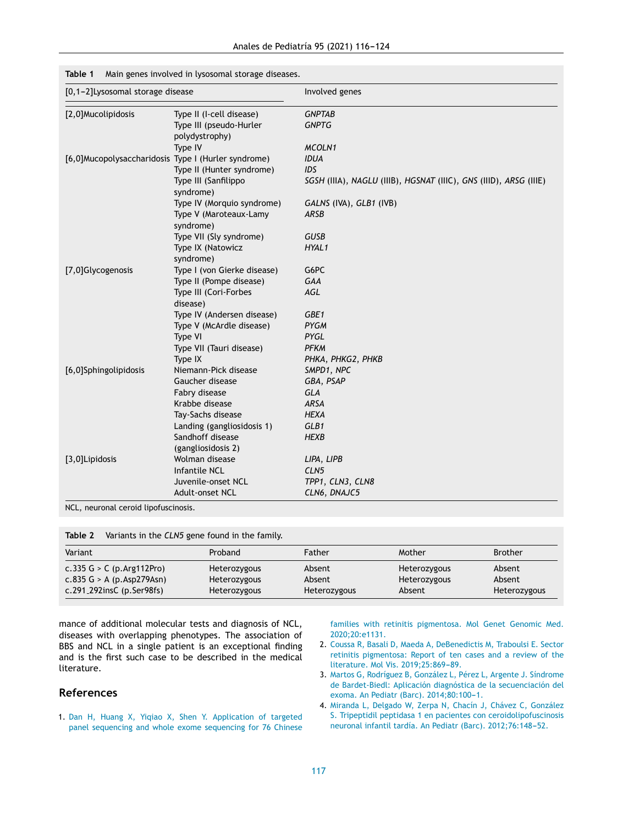| [0,1-2] Lysosomal storage disease                   |                                           | Involved genes                                                    |  |  |  |  |  |
|-----------------------------------------------------|-------------------------------------------|-------------------------------------------------------------------|--|--|--|--|--|
| [2,0]Mucolipidosis                                  | Type II (I-cell disease)                  | <b>GNPTAB</b>                                                     |  |  |  |  |  |
|                                                     | Type III (pseudo-Hurler<br>polydystrophy) | <b>GNPTG</b>                                                      |  |  |  |  |  |
|                                                     | Type IV                                   | MCOLN1                                                            |  |  |  |  |  |
| [6,0]Mucopolysaccharidosis Type I (Hurler syndrome) |                                           | <b>IDUA</b>                                                       |  |  |  |  |  |
|                                                     | Type II (Hunter syndrome)                 | IDS                                                               |  |  |  |  |  |
|                                                     | Type III (Sanfilippo<br>syndrome)         | SGSH (IIIA), NAGLU (IIIB), HGSNAT (IIIC), GNS (IIID), ARSG (IIIE) |  |  |  |  |  |
|                                                     | Type IV (Morquio syndrome)                | GALNS (IVA), GLB1 (IVB)                                           |  |  |  |  |  |
|                                                     | Type V (Maroteaux-Lamy<br>syndrome)       | ARSB                                                              |  |  |  |  |  |
|                                                     | Type VII (Sly syndrome)                   | <b>GUSB</b>                                                       |  |  |  |  |  |
|                                                     | Type IX (Natowicz<br>syndrome)            | HYAL1                                                             |  |  |  |  |  |
| [7,0]Glycogenosis                                   | Type I (von Gierke disease)               | G6PC                                                              |  |  |  |  |  |
|                                                     | Type II (Pompe disease)                   | <b>GAA</b>                                                        |  |  |  |  |  |
|                                                     | Type III (Cori-Forbes<br>disease)         | <b>AGL</b>                                                        |  |  |  |  |  |
|                                                     | Type IV (Andersen disease)                | GBE1                                                              |  |  |  |  |  |
|                                                     | Type V (McArdle disease)                  | <b>PYGM</b>                                                       |  |  |  |  |  |
|                                                     | Type VI                                   | PYGL                                                              |  |  |  |  |  |
|                                                     | Type VII (Tauri disease)                  | <b>PFKM</b>                                                       |  |  |  |  |  |
|                                                     | Type IX                                   | PHKA, PHKG2, PHKB                                                 |  |  |  |  |  |
| [6,0]Sphingolipidosis                               | Niemann-Pick disease                      | SMPD1, NPC                                                        |  |  |  |  |  |
|                                                     | Gaucher disease                           | GBA, PSAP                                                         |  |  |  |  |  |
|                                                     | Fabry disease                             | <b>GLA</b>                                                        |  |  |  |  |  |
|                                                     | Krabbe disease                            | <b>ARSA</b>                                                       |  |  |  |  |  |
|                                                     | Tay-Sachs disease                         | <b>HEXA</b>                                                       |  |  |  |  |  |
|                                                     | Landing (gangliosidosis 1)                | GLB1                                                              |  |  |  |  |  |
|                                                     | Sandhoff disease                          | <b>HEXB</b>                                                       |  |  |  |  |  |
|                                                     | (gangliosidosis 2)                        |                                                                   |  |  |  |  |  |
| [3,0]Lipidosis                                      | Wolman disease                            | LIPA, LIPB                                                        |  |  |  |  |  |
|                                                     | <b>Infantile NCL</b>                      | CLN <sub>5</sub>                                                  |  |  |  |  |  |
|                                                     | Juvenile-onset NCL                        | TPP1, CLN3, CLN8                                                  |  |  |  |  |  |
|                                                     | Adult-onset NCL                           | CLN6, DNAJC5                                                      |  |  |  |  |  |

### <span id="page-1-0"></span>**Table 1** Main genes involved in lysosomal storage diseases.

NCL, neuronal ceroid lipofuscinosis.

| Table 2 | Variants in the CLN5 gene found in the family. |  |  |  |  |  |  |  |  |
|---------|------------------------------------------------|--|--|--|--|--|--|--|--|
|---------|------------------------------------------------|--|--|--|--|--|--|--|--|

| Variant                     | Proband      | Father       | Mother       | <b>Brother</b> |
|-----------------------------|--------------|--------------|--------------|----------------|
| c.335 G > C (p.Arg112Pro)   | Heterozygous | Absent       | Heterozygous | Absent         |
| $c.835$ G > A (p.Asp279Asn) | Heterozygous | Absent       | Heterozygous | Absent         |
| c.291_292insC $(p.Ser98fs)$ | Heterozygous | Heterozygous | Absent       | Heterozygous   |

mance of additional molecular tests and diagnosis of NCL, diseases with overlapping phenotypes. The association of BBS and NCL in a single patient is an exceptional finding and is the first such case to be described in the medical literature.

## **References**

1. [Dan](http://refhub.elsevier.com/S2341-2879(21)00114-9/sbref0005) [H,](http://refhub.elsevier.com/S2341-2879(21)00114-9/sbref0005) [Huang](http://refhub.elsevier.com/S2341-2879(21)00114-9/sbref0005) [X,](http://refhub.elsevier.com/S2341-2879(21)00114-9/sbref0005) [Yiqiao](http://refhub.elsevier.com/S2341-2879(21)00114-9/sbref0005) [X,](http://refhub.elsevier.com/S2341-2879(21)00114-9/sbref0005) [Shen](http://refhub.elsevier.com/S2341-2879(21)00114-9/sbref0005) [Y.](http://refhub.elsevier.com/S2341-2879(21)00114-9/sbref0005) [Application](http://refhub.elsevier.com/S2341-2879(21)00114-9/sbref0005) [of](http://refhub.elsevier.com/S2341-2879(21)00114-9/sbref0005) [targeted](http://refhub.elsevier.com/S2341-2879(21)00114-9/sbref0005) [panel](http://refhub.elsevier.com/S2341-2879(21)00114-9/sbref0005) [sequencing](http://refhub.elsevier.com/S2341-2879(21)00114-9/sbref0005) [and](http://refhub.elsevier.com/S2341-2879(21)00114-9/sbref0005) [whole](http://refhub.elsevier.com/S2341-2879(21)00114-9/sbref0005) [exome](http://refhub.elsevier.com/S2341-2879(21)00114-9/sbref0005) [sequencing](http://refhub.elsevier.com/S2341-2879(21)00114-9/sbref0005) [for](http://refhub.elsevier.com/S2341-2879(21)00114-9/sbref0005) [76](http://refhub.elsevier.com/S2341-2879(21)00114-9/sbref0005) [Chinese](http://refhub.elsevier.com/S2341-2879(21)00114-9/sbref0005) [families](http://refhub.elsevier.com/S2341-2879(21)00114-9/sbref0005) [with](http://refhub.elsevier.com/S2341-2879(21)00114-9/sbref0005) [retinitis](http://refhub.elsevier.com/S2341-2879(21)00114-9/sbref0005) [pigmentosa.](http://refhub.elsevier.com/S2341-2879(21)00114-9/sbref0005) [Mol](http://refhub.elsevier.com/S2341-2879(21)00114-9/sbref0005) [Genet](http://refhub.elsevier.com/S2341-2879(21)00114-9/sbref0005) [Genomic](http://refhub.elsevier.com/S2341-2879(21)00114-9/sbref0005) [Med.](http://refhub.elsevier.com/S2341-2879(21)00114-9/sbref0005) [2020;20:e1131.](http://refhub.elsevier.com/S2341-2879(21)00114-9/sbref0005)

- 2. [Coussa](http://refhub.elsevier.com/S2341-2879(21)00114-9/sbref0010) [R,](http://refhub.elsevier.com/S2341-2879(21)00114-9/sbref0010) [Basali](http://refhub.elsevier.com/S2341-2879(21)00114-9/sbref0010) [D,](http://refhub.elsevier.com/S2341-2879(21)00114-9/sbref0010) [Maeda](http://refhub.elsevier.com/S2341-2879(21)00114-9/sbref0010) [A,](http://refhub.elsevier.com/S2341-2879(21)00114-9/sbref0010) [DeBenedictis](http://refhub.elsevier.com/S2341-2879(21)00114-9/sbref0010) [M,](http://refhub.elsevier.com/S2341-2879(21)00114-9/sbref0010) [Traboulsi](http://refhub.elsevier.com/S2341-2879(21)00114-9/sbref0010) [E.](http://refhub.elsevier.com/S2341-2879(21)00114-9/sbref0010) [Sector](http://refhub.elsevier.com/S2341-2879(21)00114-9/sbref0010) [retinitis](http://refhub.elsevier.com/S2341-2879(21)00114-9/sbref0010) [pigmentosa:](http://refhub.elsevier.com/S2341-2879(21)00114-9/sbref0010) [Report](http://refhub.elsevier.com/S2341-2879(21)00114-9/sbref0010) [of](http://refhub.elsevier.com/S2341-2879(21)00114-9/sbref0010) [ten](http://refhub.elsevier.com/S2341-2879(21)00114-9/sbref0010) [cases](http://refhub.elsevier.com/S2341-2879(21)00114-9/sbref0010) [and](http://refhub.elsevier.com/S2341-2879(21)00114-9/sbref0010) [a](http://refhub.elsevier.com/S2341-2879(21)00114-9/sbref0010) [review](http://refhub.elsevier.com/S2341-2879(21)00114-9/sbref0010) [of](http://refhub.elsevier.com/S2341-2879(21)00114-9/sbref0010) [the](http://refhub.elsevier.com/S2341-2879(21)00114-9/sbref0010) [literature.](http://refhub.elsevier.com/S2341-2879(21)00114-9/sbref0010) [Mol](http://refhub.elsevier.com/S2341-2879(21)00114-9/sbref0010) [Vis.](http://refhub.elsevier.com/S2341-2879(21)00114-9/sbref0010) 2019;25:869-89.
- 3. [Martos](http://refhub.elsevier.com/S2341-2879(21)00114-9/sbref0015) [G,](http://refhub.elsevier.com/S2341-2879(21)00114-9/sbref0015) [Rodríguez](http://refhub.elsevier.com/S2341-2879(21)00114-9/sbref0015) [B,](http://refhub.elsevier.com/S2341-2879(21)00114-9/sbref0015) [González](http://refhub.elsevier.com/S2341-2879(21)00114-9/sbref0015) [L,](http://refhub.elsevier.com/S2341-2879(21)00114-9/sbref0015) [Pérez](http://refhub.elsevier.com/S2341-2879(21)00114-9/sbref0015) [L,](http://refhub.elsevier.com/S2341-2879(21)00114-9/sbref0015) [Argente](http://refhub.elsevier.com/S2341-2879(21)00114-9/sbref0015) [J.](http://refhub.elsevier.com/S2341-2879(21)00114-9/sbref0015) [Síndrome](http://refhub.elsevier.com/S2341-2879(21)00114-9/sbref0015) [de](http://refhub.elsevier.com/S2341-2879(21)00114-9/sbref0015) [Bardet-Biedl:](http://refhub.elsevier.com/S2341-2879(21)00114-9/sbref0015) [Aplicación](http://refhub.elsevier.com/S2341-2879(21)00114-9/sbref0015) [diagnóstica](http://refhub.elsevier.com/S2341-2879(21)00114-9/sbref0015) [de](http://refhub.elsevier.com/S2341-2879(21)00114-9/sbref0015) [la](http://refhub.elsevier.com/S2341-2879(21)00114-9/sbref0015) [secuenciación](http://refhub.elsevier.com/S2341-2879(21)00114-9/sbref0015) [del](http://refhub.elsevier.com/S2341-2879(21)00114-9/sbref0015) [exoma.](http://refhub.elsevier.com/S2341-2879(21)00114-9/sbref0015) [An](http://refhub.elsevier.com/S2341-2879(21)00114-9/sbref0015) [Pediatr](http://refhub.elsevier.com/S2341-2879(21)00114-9/sbref0015) [\(Barc\).](http://refhub.elsevier.com/S2341-2879(21)00114-9/sbref0015) 2014;80:100-1.
- 4. [Miranda](http://refhub.elsevier.com/S2341-2879(21)00114-9/sbref0020) [L,](http://refhub.elsevier.com/S2341-2879(21)00114-9/sbref0020) [Delgado](http://refhub.elsevier.com/S2341-2879(21)00114-9/sbref0020) [W,](http://refhub.elsevier.com/S2341-2879(21)00114-9/sbref0020) [Zerpa](http://refhub.elsevier.com/S2341-2879(21)00114-9/sbref0020) [N,](http://refhub.elsevier.com/S2341-2879(21)00114-9/sbref0020) [Chacín](http://refhub.elsevier.com/S2341-2879(21)00114-9/sbref0020) [J,](http://refhub.elsevier.com/S2341-2879(21)00114-9/sbref0020) [Chávez](http://refhub.elsevier.com/S2341-2879(21)00114-9/sbref0020) [C,](http://refhub.elsevier.com/S2341-2879(21)00114-9/sbref0020) [González](http://refhub.elsevier.com/S2341-2879(21)00114-9/sbref0020) [S.](http://refhub.elsevier.com/S2341-2879(21)00114-9/sbref0020) [Tripeptidil](http://refhub.elsevier.com/S2341-2879(21)00114-9/sbref0020) [peptidasa](http://refhub.elsevier.com/S2341-2879(21)00114-9/sbref0020) [1](http://refhub.elsevier.com/S2341-2879(21)00114-9/sbref0020) [en](http://refhub.elsevier.com/S2341-2879(21)00114-9/sbref0020) [pacientes](http://refhub.elsevier.com/S2341-2879(21)00114-9/sbref0020) [con](http://refhub.elsevier.com/S2341-2879(21)00114-9/sbref0020) [ceroidolipofuscinosis](http://refhub.elsevier.com/S2341-2879(21)00114-9/sbref0020) [neuronal](http://refhub.elsevier.com/S2341-2879(21)00114-9/sbref0020) [infantil](http://refhub.elsevier.com/S2341-2879(21)00114-9/sbref0020) [tardía.](http://refhub.elsevier.com/S2341-2879(21)00114-9/sbref0020) [An](http://refhub.elsevier.com/S2341-2879(21)00114-9/sbref0020) [Pediatr](http://refhub.elsevier.com/S2341-2879(21)00114-9/sbref0020) [\(Barc\).](http://refhub.elsevier.com/S2341-2879(21)00114-9/sbref0020) 2012;76:148-52.